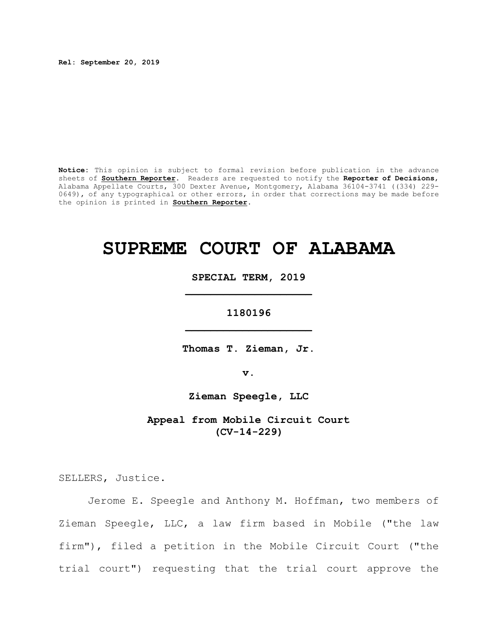**Rel: September 20, 2019**

**Notice:** This opinion is subject to formal revision before publication in the advance sheets of **Southern Reporter**. Readers are requested to notify the **Reporter of Decisions**, Alabama Appellate Courts, 300 Dexter Avenue, Montgomery, Alabama 36104-3741 ((334) 229- 0649), of any typographical or other errors, in order that corrections may be made before the opinion is printed in **Southern Reporter**.

# **SUPREME COURT OF ALABAMA**

**SPECIAL TERM, 2019 \_\_\_\_\_\_\_\_\_\_\_\_\_\_\_\_\_\_\_\_**

**1180196 \_\_\_\_\_\_\_\_\_\_\_\_\_\_\_\_\_\_\_\_**

**Thomas T. Zieman, Jr.**

**v.**

**Zieman Speegle, LLC**

**Appeal from Mobile Circuit Court (CV-14-229)**

SELLERS, Justice.

Jerome E. Speegle and Anthony M. Hoffman, two members of Zieman Speegle, LLC, a law firm based in Mobile ("the law firm"), filed a petition in the Mobile Circuit Court ("the trial court") requesting that the trial court approve the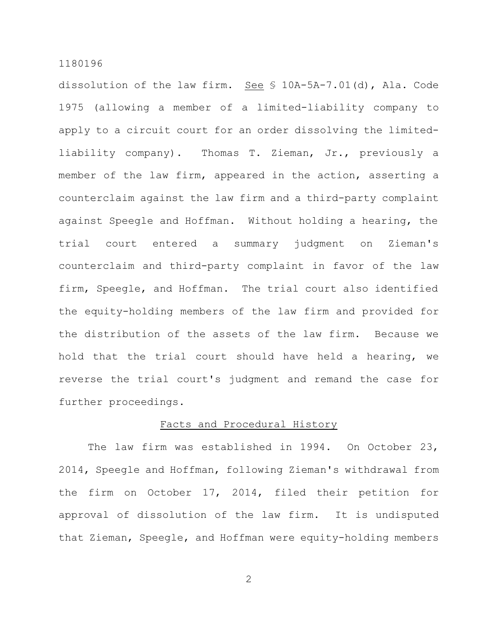dissolution of the law firm. See § 10A-5A-7.01(d), Ala. Code 1975 (allowing a member of a limited-liability company to apply to a circuit court for an order dissolving the limitedliability company). Thomas T. Zieman, Jr., previously a member of the law firm, appeared in the action, asserting a counterclaim against the law firm and a third-party complaint against Speegle and Hoffman. Without holding a hearing, the trial court entered a summary judgment on Zieman's counterclaim and third-party complaint in favor of the law firm, Speegle, and Hoffman. The trial court also identified the equity-holding members of the law firm and provided for the distribution of the assets of the law firm. Because we hold that the trial court should have held a hearing, we reverse the trial court's judgment and remand the case for further proceedings.

## Facts and Procedural History

The law firm was established in 1994. On October 23, 2014, Speegle and Hoffman, following Zieman's withdrawal from the firm on October 17, 2014, filed their petition for approval of dissolution of the law firm. It is undisputed that Zieman, Speegle, and Hoffman were equity-holding members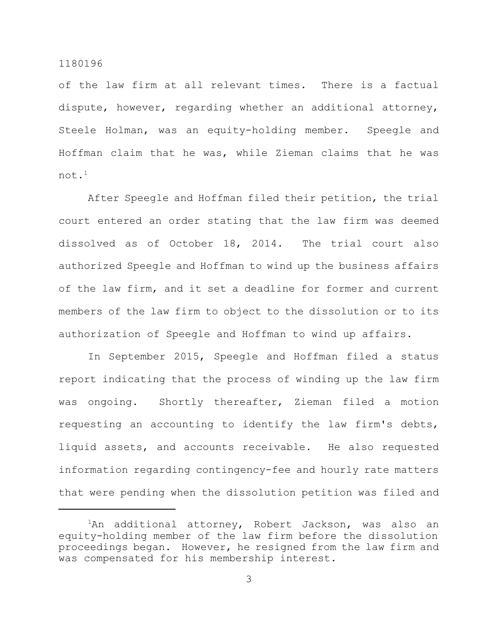of the law firm at all relevant times. There is a factual dispute, however, regarding whether an additional attorney, Steele Holman, was an equity-holding member. Speegle and Hoffman claim that he was, while Zieman claims that he was not.<sup>1</sup>

After Speegle and Hoffman filed their petition, the trial court entered an order stating that the law firm was deemed dissolved as of October 18, 2014. The trial court also authorized Speegle and Hoffman to wind up the business affairs of the law firm, and it set a deadline for former and current members of the law firm to object to the dissolution or to its authorization of Speegle and Hoffman to wind up affairs.

In September 2015, Speegle and Hoffman filed a status report indicating that the process of winding up the law firm was ongoing. Shortly thereafter, Zieman filed a motion requesting an accounting to identify the law firm's debts, liquid assets, and accounts receivable. He also requested information regarding contingency-fee and hourly rate matters that were pending when the dissolution petition was filed and

 ${}^{1}$ An additional attorney, Robert Jackson, was also an equity-holding member of the law firm before the dissolution proceedings began. However, he resigned from the law firm and was compensated for his membership interest.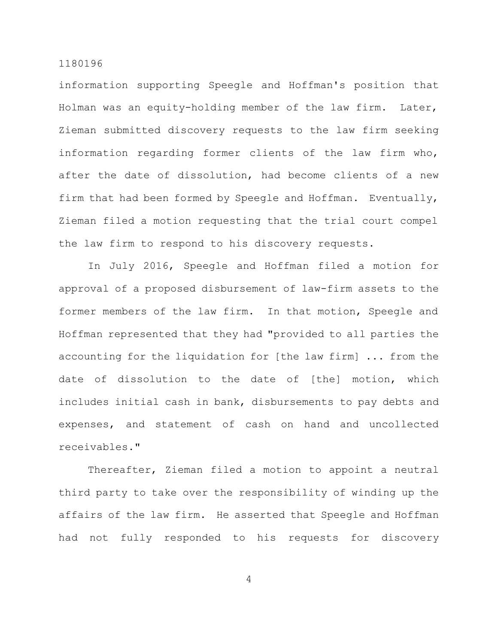information supporting Speegle and Hoffman's position that Holman was an equity-holding member of the law firm. Later, Zieman submitted discovery requests to the law firm seeking information regarding former clients of the law firm who, after the date of dissolution, had become clients of a new firm that had been formed by Speegle and Hoffman. Eventually, Zieman filed a motion requesting that the trial court compel the law firm to respond to his discovery requests.

In July 2016, Speegle and Hoffman filed a motion for approval of a proposed disbursement of law-firm assets to the former members of the law firm. In that motion, Speegle and Hoffman represented that they had "provided to all parties the accounting for the liquidation for [the law firm] ... from the date of dissolution to the date of [the] motion, which includes initial cash in bank, disbursements to pay debts and expenses, and statement of cash on hand and uncollected receivables."

Thereafter, Zieman filed a motion to appoint a neutral third party to take over the responsibility of winding up the affairs of the law firm. He asserted that Speegle and Hoffman had not fully responded to his requests for discovery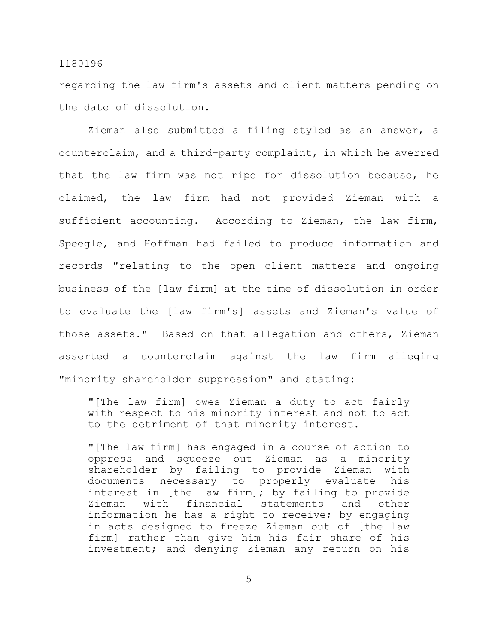regarding the law firm's assets and client matters pending on the date of dissolution.

Zieman also submitted a filing styled as an answer, a counterclaim, and a third-party complaint, in which he averred that the law firm was not ripe for dissolution because, he claimed, the law firm had not provided Zieman with a sufficient accounting. According to Zieman, the law firm, Speegle, and Hoffman had failed to produce information and records "relating to the open client matters and ongoing business of the [law firm] at the time of dissolution in order to evaluate the [law firm's] assets and Zieman's value of those assets." Based on that allegation and others, Zieman asserted a counterclaim against the law firm alleging "minority shareholder suppression" and stating:

"[The law firm] owes Zieman a duty to act fairly with respect to his minority interest and not to act to the detriment of that minority interest.

"[The law firm] has engaged in a course of action to oppress and squeeze out Zieman as a minority shareholder by failing to provide Zieman with documents necessary to properly evaluate his interest in [the law firm]; by failing to provide Zieman with financial statements and other information he has a right to receive; by engaging in acts designed to freeze Zieman out of [the law firm] rather than give him his fair share of his investment; and denying Zieman any return on his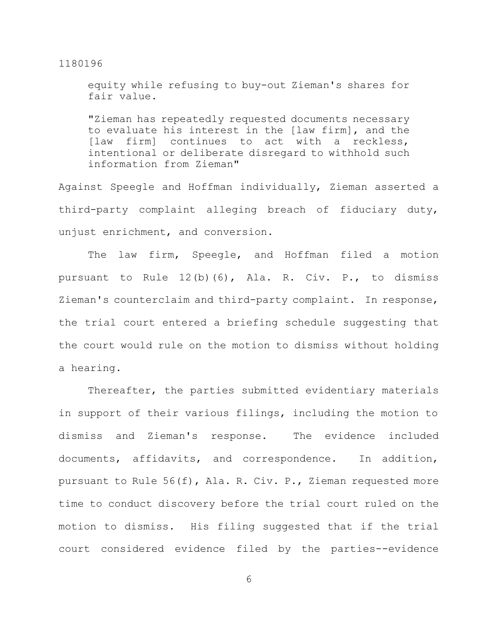equity while refusing to buy-out Zieman's shares for fair value.

"Zieman has repeatedly requested documents necessary to evaluate his interest in the [law firm], and the [law firm] continues to act with a reckless, intentional or deliberate disregard to withhold such information from Zieman"

Against Speegle and Hoffman individually, Zieman asserted a third-party complaint alleging breach of fiduciary duty, unjust enrichment, and conversion.

The law firm, Speegle, and Hoffman filed a motion pursuant to Rule 12(b)(6), Ala. R. Civ. P., to dismiss Zieman's counterclaim and third-party complaint. In response, the trial court entered a briefing schedule suggesting that the court would rule on the motion to dismiss without holding a hearing.

Thereafter, the parties submitted evidentiary materials in support of their various filings, including the motion to dismiss and Zieman's response. The evidence included documents, affidavits, and correspondence. In addition, pursuant to Rule 56(f), Ala. R. Civ. P., Zieman requested more time to conduct discovery before the trial court ruled on the motion to dismiss. His filing suggested that if the trial court considered evidence filed by the parties--evidence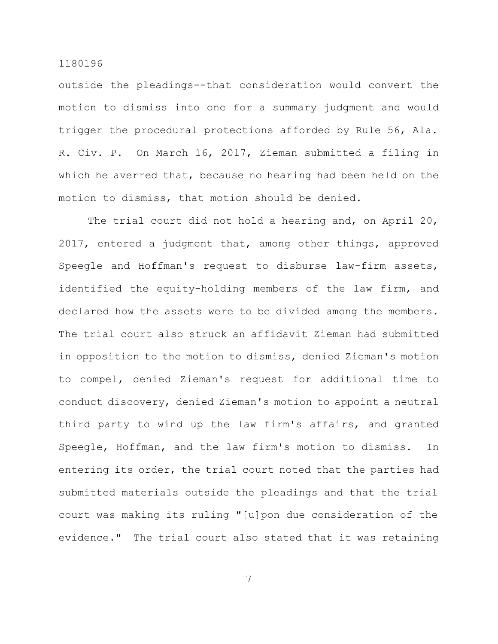outside the pleadings--that consideration would convert the motion to dismiss into one for a summary judgment and would trigger the procedural protections afforded by Rule 56, Ala. R. Civ. P. On March 16, 2017, Zieman submitted a filing in which he averred that, because no hearing had been held on the motion to dismiss, that motion should be denied.

The trial court did not hold a hearing and, on April 20, 2017, entered a judgment that, among other things, approved Speegle and Hoffman's request to disburse law-firm assets, identified the equity-holding members of the law firm, and declared how the assets were to be divided among the members. The trial court also struck an affidavit Zieman had submitted in opposition to the motion to dismiss, denied Zieman's motion to compel, denied Zieman's request for additional time to conduct discovery, denied Zieman's motion to appoint a neutral third party to wind up the law firm's affairs, and granted Speegle, Hoffman, and the law firm's motion to dismiss. In entering its order, the trial court noted that the parties had submitted materials outside the pleadings and that the trial court was making its ruling "[u]pon due consideration of the evidence." The trial court also stated that it was retaining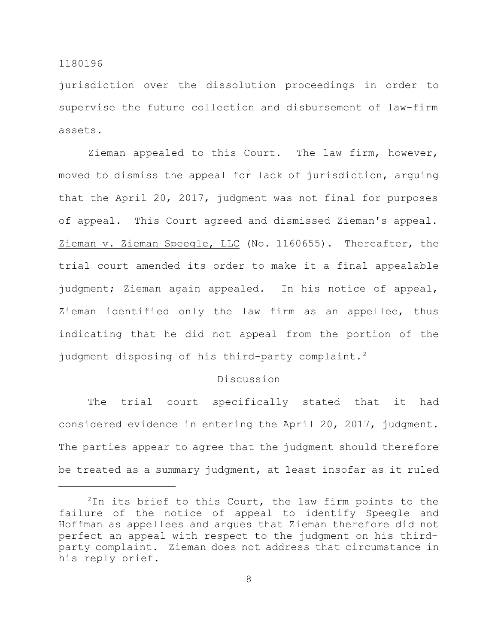jurisdiction over the dissolution proceedings in order to supervise the future collection and disbursement of law-firm assets.

Zieman appealed to this Court. The law firm, however, moved to dismiss the appeal for lack of jurisdiction, arguing that the April 20, 2017, judgment was not final for purposes of appeal. This Court agreed and dismissed Zieman's appeal. Zieman v. Zieman Speegle, LLC (No. 1160655). Thereafter, the trial court amended its order to make it a final appealable judgment; Zieman again appealed. In his notice of appeal, Zieman identified only the law firm as an appellee, thus indicating that he did not appeal from the portion of the judgment disposing of his third-party complaint.<sup>2</sup>

#### Discussion

The trial court specifically stated that it had considered evidence in entering the April 20, 2017, judgment. The parties appear to agree that the judgment should therefore be treated as a summary judgment, at least insofar as it ruled

 $2$ In its brief to this Court, the law firm points to the failure of the notice of appeal to identify Speegle and Hoffman as appellees and argues that Zieman therefore did not perfect an appeal with respect to the judgment on his thirdparty complaint. Zieman does not address that circumstance in his reply brief.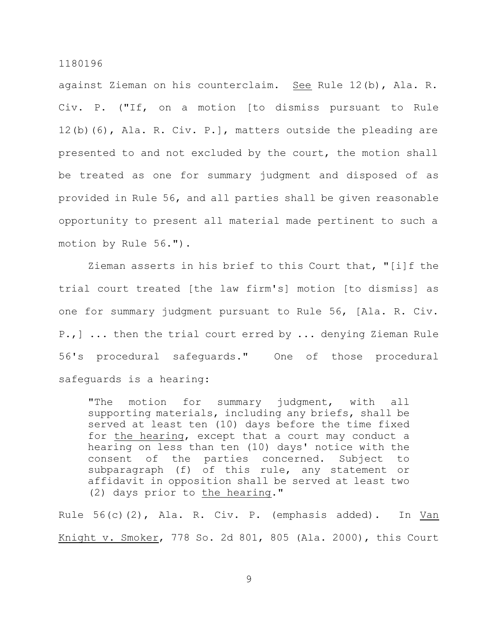against Zieman on his counterclaim. See Rule 12(b), Ala. R. Civ. P. ("If, on a motion [to dismiss pursuant to Rule 12(b)(6), Ala. R. Civ. P.], matters outside the pleading are presented to and not excluded by the court, the motion shall be treated as one for summary judgment and disposed of as provided in Rule 56, and all parties shall be given reasonable opportunity to present all material made pertinent to such a motion by Rule 56.").

Zieman asserts in his brief to this Court that, "[i]f the trial court treated [the law firm's] motion [to dismiss] as one for summary judgment pursuant to Rule 56, [Ala. R. Civ. P.,] ... then the trial court erred by ... denying Zieman Rule 56's procedural safeguards." One of those procedural safeguards is a hearing:

"The motion for summary judgment, with all supporting materials, including any briefs, shall be served at least ten (10) days before the time fixed for the hearing, except that a court may conduct a hearing on less than ten (10) days' notice with the consent of the parties concerned. Subject to subparagraph (f) of this rule, any statement or affidavit in opposition shall be served at least two (2) days prior to the hearing."

Rule 56(c)(2), Ala. R. Civ. P. (emphasis added). In Van Knight v. Smoker, 778 So. 2d 801, 805 (Ala. 2000), this Court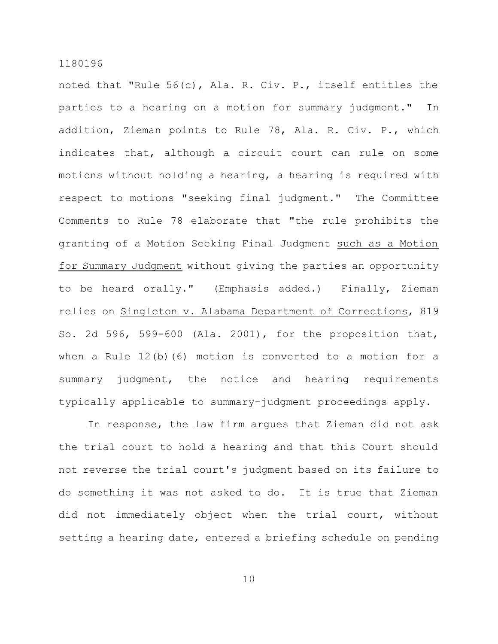noted that "Rule 56(c), Ala. R. Civ. P., itself entitles the parties to a hearing on a motion for summary judgment." In addition, Zieman points to Rule 78, Ala. R. Civ. P., which indicates that, although a circuit court can rule on some motions without holding a hearing, a hearing is required with respect to motions "seeking final judgment." The Committee Comments to Rule 78 elaborate that "the rule prohibits the granting of a Motion Seeking Final Judgment such as a Motion for Summary Judgment without giving the parties an opportunity to be heard orally." (Emphasis added.) Finally, Zieman relies on Singleton v. Alabama Department of Corrections, 819 So. 2d 596, 599-600 (Ala. 2001), for the proposition that, when a Rule 12(b)(6) motion is converted to a motion for a summary judgment, the notice and hearing requirements typically applicable to summary-judgment proceedings apply.

In response, the law firm argues that Zieman did not ask the trial court to hold a hearing and that this Court should not reverse the trial court's judgment based on its failure to do something it was not asked to do. It is true that Zieman did not immediately object when the trial court, without setting a hearing date, entered a briefing schedule on pending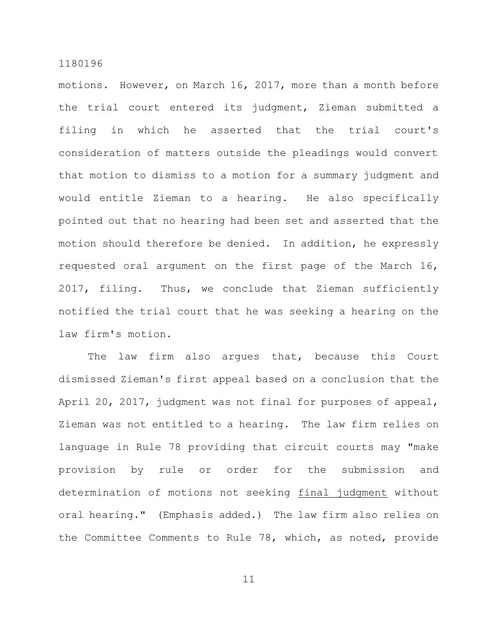motions. However, on March 16, 2017, more than a month before the trial court entered its judgment, Zieman submitted a filing in which he asserted that the trial court's consideration of matters outside the pleadings would convert that motion to dismiss to a motion for a summary judgment and would entitle Zieman to a hearing. He also specifically pointed out that no hearing had been set and asserted that the motion should therefore be denied. In addition, he expressly requested oral argument on the first page of the March 16, 2017, filing. Thus, we conclude that Zieman sufficiently notified the trial court that he was seeking a hearing on the law firm's motion.

The law firm also argues that, because this Court dismissed Zieman's first appeal based on a conclusion that the April 20, 2017, judgment was not final for purposes of appeal, Zieman was not entitled to a hearing. The law firm relies on language in Rule 78 providing that circuit courts may "make provision by rule or order for the submission and determination of motions not seeking final judgment without oral hearing." (Emphasis added.) The law firm also relies on the Committee Comments to Rule 78, which, as noted, provide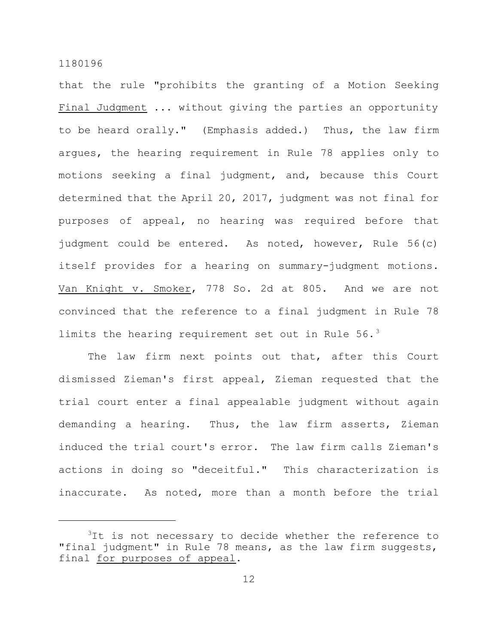that the rule "prohibits the granting of a Motion Seeking Final Judgment ... without giving the parties an opportunity to be heard orally." (Emphasis added.) Thus, the law firm argues, the hearing requirement in Rule 78 applies only to motions seeking a final judgment, and, because this Court determined that the April 20, 2017, judgment was not final for purposes of appeal, no hearing was required before that judgment could be entered. As noted, however, Rule 56(c) itself provides for a hearing on summary-judgment motions. Van Knight v. Smoker, 778 So. 2d at 805. And we are not convinced that the reference to a final judgment in Rule 78 limits the hearing requirement set out in Rule  $56.^3$ 

The law firm next points out that, after this Court dismissed Zieman's first appeal, Zieman requested that the trial court enter a final appealable judgment without again demanding a hearing. Thus, the law firm asserts, Zieman induced the trial court's error. The law firm calls Zieman's actions in doing so "deceitful." This characterization is inaccurate. As noted, more than a month before the trial

<sup>&</sup>lt;sup>3</sup>It is not necessary to decide whether the reference to "final judgment" in Rule 78 means, as the law firm suggests, final for purposes of appeal.